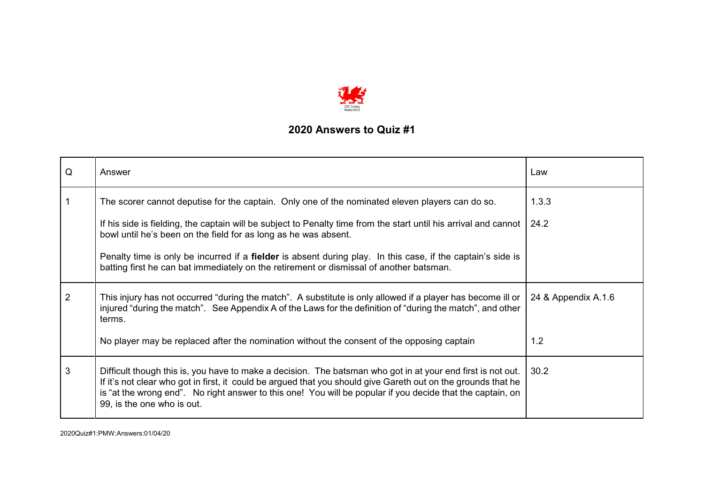

| Q              | Answer                                                                                                                                                                                                                                                                                                                                                                   | Law                 |
|----------------|--------------------------------------------------------------------------------------------------------------------------------------------------------------------------------------------------------------------------------------------------------------------------------------------------------------------------------------------------------------------------|---------------------|
|                | The scorer cannot deputise for the captain. Only one of the nominated eleven players can do so.                                                                                                                                                                                                                                                                          | 1.3.3               |
|                | If his side is fielding, the captain will be subject to Penalty time from the start until his arrival and cannot<br>bowl until he's been on the field for as long as he was absent.                                                                                                                                                                                      | 24.2                |
|                | Penalty time is only be incurred if a <b>fielder</b> is absent during play. In this case, if the captain's side is<br>batting first he can bat immediately on the retirement or dismissal of another batsman.                                                                                                                                                            |                     |
| $\overline{2}$ | This injury has not occurred "during the match". A substitute is only allowed if a player has become ill or<br>injured "during the match". See Appendix A of the Laws for the definition of "during the match", and other<br>terms.                                                                                                                                      | 24 & Appendix A.1.6 |
|                | No player may be replaced after the nomination without the consent of the opposing captain                                                                                                                                                                                                                                                                               | 1.2                 |
| 3              | Difficult though this is, you have to make a decision. The batsman who got in at your end first is not out.<br>If it's not clear who got in first, it could be argued that you should give Gareth out on the grounds that he<br>is "at the wrong end". No right answer to this one! You will be popular if you decide that the captain, on<br>99, is the one who is out. | 30.2                |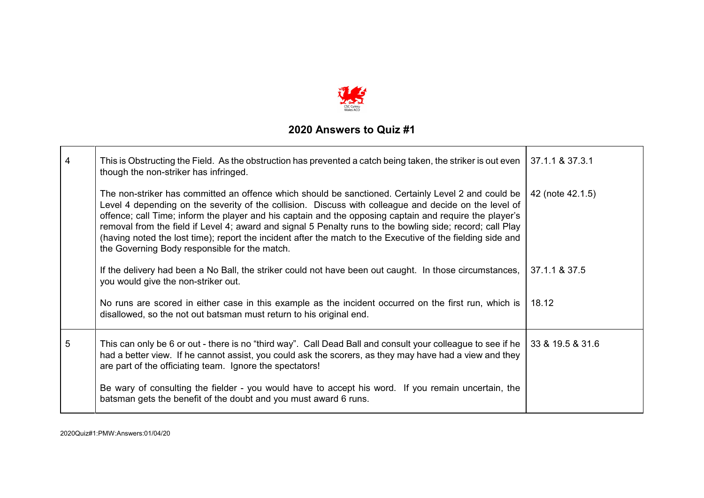

| $\overline{\mathbf{4}}$ | This is Obstructing the Field. As the obstruction has prevented a catch being taken, the striker is out even<br>though the non-striker has infringed.                                                                                                                                                                                                                                                                                                                                                                                                                                                | 37.1.1 & 37.3.1  |
|-------------------------|------------------------------------------------------------------------------------------------------------------------------------------------------------------------------------------------------------------------------------------------------------------------------------------------------------------------------------------------------------------------------------------------------------------------------------------------------------------------------------------------------------------------------------------------------------------------------------------------------|------------------|
|                         | The non-striker has committed an offence which should be sanctioned. Certainly Level 2 and could be<br>Level 4 depending on the severity of the collision. Discuss with colleague and decide on the level of<br>offence; call Time; inform the player and his captain and the opposing captain and require the player's<br>removal from the field if Level 4; award and signal 5 Penalty runs to the bowling side; record; call Play<br>(having noted the lost time); report the incident after the match to the Executive of the fielding side and<br>the Governing Body responsible for the match. | 42 (note 42.1.5) |
|                         | If the delivery had been a No Ball, the striker could not have been out caught. In those circumstances,<br>you would give the non-striker out.                                                                                                                                                                                                                                                                                                                                                                                                                                                       | 37.1.1 & 37.5    |
|                         | No runs are scored in either case in this example as the incident occurred on the first run, which is<br>disallowed, so the not out batsman must return to his original end.                                                                                                                                                                                                                                                                                                                                                                                                                         | 18.12            |
| 5                       | This can only be 6 or out - there is no "third way". Call Dead Ball and consult your colleague to see if he<br>had a better view. If he cannot assist, you could ask the scorers, as they may have had a view and they<br>are part of the officiating team. Ignore the spectators!                                                                                                                                                                                                                                                                                                                   | 33 & 19.5 & 31.6 |
|                         | Be wary of consulting the fielder - you would have to accept his word. If you remain uncertain, the<br>batsman gets the benefit of the doubt and you must award 6 runs.                                                                                                                                                                                                                                                                                                                                                                                                                              |                  |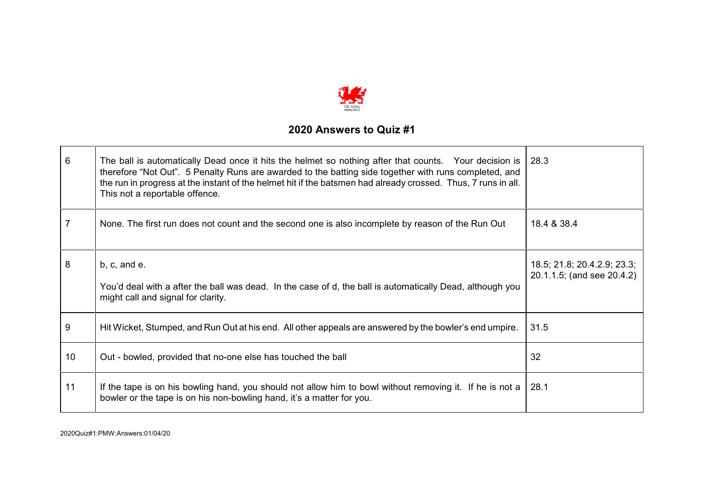

| 6              | The ball is automatically Dead once it hits the helmet so nothing after that counts. Your decision is   28.3<br>therefore "Not Out". 5 Penalty Runs are awarded to the batting side together with runs completed, and<br>the run in progress at the instant of the helmet hit if the batsmen had already crossed. Thus, 7 runs in all.<br>This not a reportable offence. |                                                           |
|----------------|--------------------------------------------------------------------------------------------------------------------------------------------------------------------------------------------------------------------------------------------------------------------------------------------------------------------------------------------------------------------------|-----------------------------------------------------------|
| $\overline{7}$ | None. The first run does not count and the second one is also incomplete by reason of the Run Out                                                                                                                                                                                                                                                                        | 18.4 & 38.4                                               |
| 8              | b, c, and e.<br>You'd deal with a after the ball was dead. In the case of d, the ball is automatically Dead, although you<br>might call and signal for clarity.                                                                                                                                                                                                          | 18.5; 21.8; 20.4.2.9; 23.3;<br>20.1.1.5; (and see 20.4.2) |
| 9              | Hit Wicket, Stumped, and Run Out at his end. All other appeals are answered by the bowler's end umpire.                                                                                                                                                                                                                                                                  | 31.5                                                      |
| 10             | Out - bowled, provided that no-one else has touched the ball                                                                                                                                                                                                                                                                                                             | 32                                                        |
| 11             | If the tape is on his bowling hand, you should not allow him to bowl without removing it. If he is not a<br>bowler or the tape is on his non-bowling hand, it's a matter for you.                                                                                                                                                                                        | 28.1                                                      |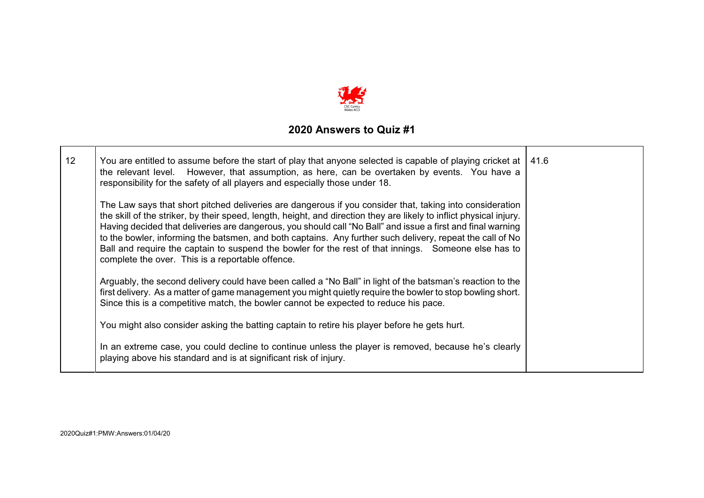

| 12 | You are entitled to assume before the start of play that anyone selected is capable of playing cricket at $\vert$ 41.6<br>the relevant level. However, that assumption, as here, can be overtaken by events. You have a<br>responsibility for the safety of all players and especially those under 18.                                                                                                                                                                                                                                                                                                                  |  |
|----|-------------------------------------------------------------------------------------------------------------------------------------------------------------------------------------------------------------------------------------------------------------------------------------------------------------------------------------------------------------------------------------------------------------------------------------------------------------------------------------------------------------------------------------------------------------------------------------------------------------------------|--|
|    | The Law says that short pitched deliveries are dangerous if you consider that, taking into consideration<br>the skill of the striker, by their speed, length, height, and direction they are likely to inflict physical injury.<br>Having decided that deliveries are dangerous, you should call "No Ball" and issue a first and final warning<br>to the bowler, informing the batsmen, and both captains. Any further such delivery, repeat the call of No<br>Ball and require the captain to suspend the bowler for the rest of that innings. Someone else has to<br>complete the over. This is a reportable offence. |  |
|    | Arguably, the second delivery could have been called a "No Ball" in light of the batsman's reaction to the<br>first delivery. As a matter of game management you might quietly require the bowler to stop bowling short.<br>Since this is a competitive match, the bowler cannot be expected to reduce his pace.                                                                                                                                                                                                                                                                                                        |  |
|    | You might also consider asking the batting captain to retire his player before he gets hurt.                                                                                                                                                                                                                                                                                                                                                                                                                                                                                                                            |  |
|    | In an extreme case, you could decline to continue unless the player is removed, because he's clearly<br>playing above his standard and is at significant risk of injury.                                                                                                                                                                                                                                                                                                                                                                                                                                                |  |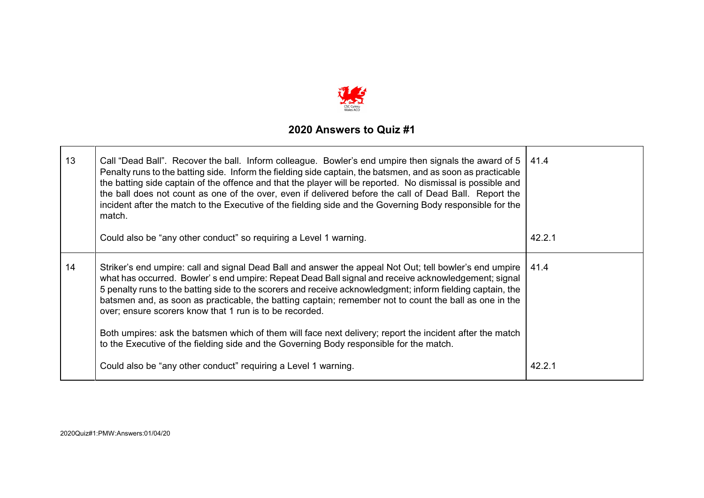

| 13 | Call "Dead Ball". Recover the ball. Inform colleague. Bowler's end umpire then signals the award of 5   41.4<br>Penalty runs to the batting side. Inform the fielding side captain, the batsmen, and as soon as practicable<br>the batting side captain of the offence and that the player will be reported. No dismissal is possible and<br>the ball does not count as one of the over, even if delivered before the call of Dead Ball. Report the<br>incident after the match to the Executive of the fielding side and the Governing Body responsible for the<br>match.                                                                                                                               |        |
|----|----------------------------------------------------------------------------------------------------------------------------------------------------------------------------------------------------------------------------------------------------------------------------------------------------------------------------------------------------------------------------------------------------------------------------------------------------------------------------------------------------------------------------------------------------------------------------------------------------------------------------------------------------------------------------------------------------------|--------|
|    | Could also be "any other conduct" so requiring a Level 1 warning.                                                                                                                                                                                                                                                                                                                                                                                                                                                                                                                                                                                                                                        | 42.2.1 |
| 14 | Striker's end umpire: call and signal Dead Ball and answer the appeal Not Out; tell bowler's end umpire<br>what has occurred. Bowler's end umpire: Repeat Dead Ball signal and receive acknowledgement; signal<br>5 penalty runs to the batting side to the scorers and receive acknowledgment; inform fielding captain, the<br>batsmen and, as soon as practicable, the batting captain; remember not to count the ball as one in the<br>over; ensure scorers know that 1 run is to be recorded.<br>Both umpires: ask the batsmen which of them will face next delivery; report the incident after the match<br>to the Executive of the fielding side and the Governing Body responsible for the match. | 41.4   |
|    | Could also be "any other conduct" requiring a Level 1 warning.                                                                                                                                                                                                                                                                                                                                                                                                                                                                                                                                                                                                                                           | 42.2.1 |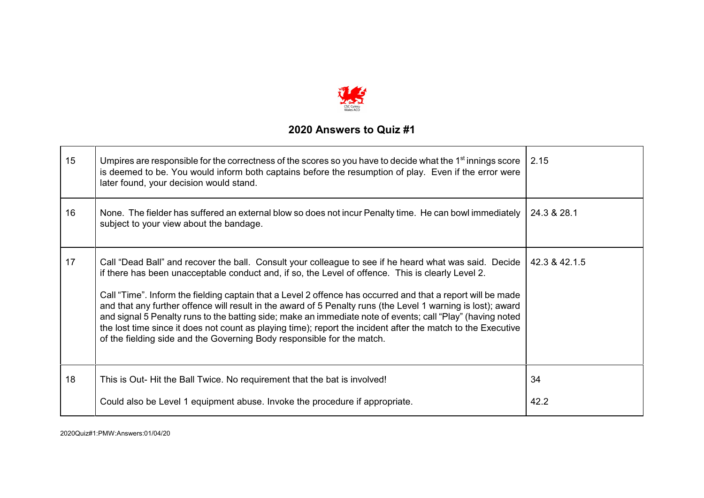

| 15 | Umpires are responsible for the correctness of the scores so you have to decide what the 1 <sup>st</sup> innings score<br>is deemed to be. You would inform both captains before the resumption of play. Even if the error were<br>later found, your decision would stand.                                                                                                                                                                                                                                                                                                                                                                                                                                                                         | 2.15          |
|----|----------------------------------------------------------------------------------------------------------------------------------------------------------------------------------------------------------------------------------------------------------------------------------------------------------------------------------------------------------------------------------------------------------------------------------------------------------------------------------------------------------------------------------------------------------------------------------------------------------------------------------------------------------------------------------------------------------------------------------------------------|---------------|
| 16 | None. The fielder has suffered an external blow so does not incur Penalty time. He can bowl immediately<br>subject to your view about the bandage.                                                                                                                                                                                                                                                                                                                                                                                                                                                                                                                                                                                                 | 24.3 & 28.1   |
| 17 | Call "Dead Ball" and recover the ball. Consult your colleague to see if he heard what was said. Decide<br>if there has been unacceptable conduct and, if so, the Level of offence. This is clearly Level 2.<br>Call "Time". Inform the fielding captain that a Level 2 offence has occurred and that a report will be made<br>and that any further offence will result in the award of 5 Penalty runs (the Level 1 warning is lost); award<br>and signal 5 Penalty runs to the batting side; make an immediate note of events; call "Play" (having noted<br>the lost time since it does not count as playing time); report the incident after the match to the Executive<br>of the fielding side and the Governing Body responsible for the match. | 42.3 & 42.1.5 |
| 18 | This is Out-Hit the Ball Twice. No requirement that the bat is involved!                                                                                                                                                                                                                                                                                                                                                                                                                                                                                                                                                                                                                                                                           | 34            |
|    | Could also be Level 1 equipment abuse. Invoke the procedure if appropriate.                                                                                                                                                                                                                                                                                                                                                                                                                                                                                                                                                                                                                                                                        | 42.2          |